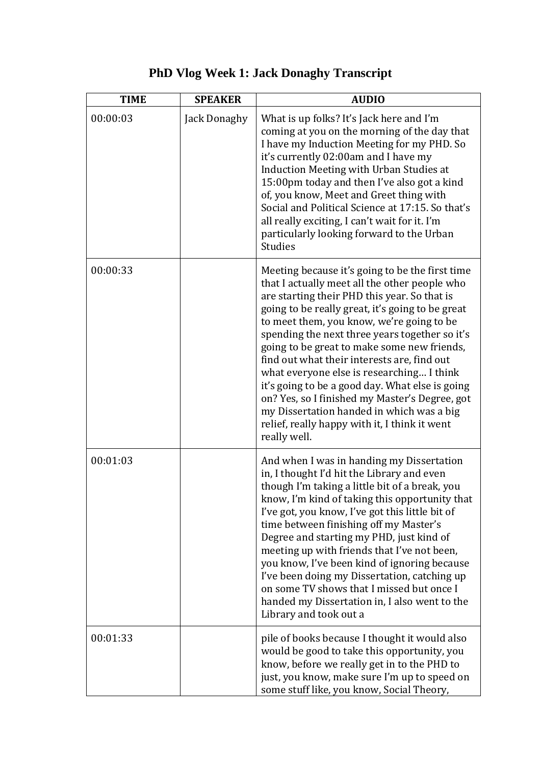| <b>TIME</b> | <b>SPEAKER</b> | <b>AUDIO</b>                                                                                                                                                                                                                                                                                                                                                                                                                                                                                                                                                                                                                                                      |
|-------------|----------------|-------------------------------------------------------------------------------------------------------------------------------------------------------------------------------------------------------------------------------------------------------------------------------------------------------------------------------------------------------------------------------------------------------------------------------------------------------------------------------------------------------------------------------------------------------------------------------------------------------------------------------------------------------------------|
| 00:00:03    | Jack Donaghy   | What is up folks? It's Jack here and I'm<br>coming at you on the morning of the day that<br>I have my Induction Meeting for my PHD. So<br>it's currently 02:00am and I have my<br>Induction Meeting with Urban Studies at<br>15:00pm today and then I've also got a kind<br>of, you know, Meet and Greet thing with<br>Social and Political Science at 17:15. So that's<br>all really exciting, I can't wait for it. I'm<br>particularly looking forward to the Urban<br><b>Studies</b>                                                                                                                                                                           |
| 00:00:33    |                | Meeting because it's going to be the first time<br>that I actually meet all the other people who<br>are starting their PHD this year. So that is<br>going to be really great, it's going to be great<br>to meet them, you know, we're going to be<br>spending the next three years together so it's<br>going to be great to make some new friends,<br>find out what their interests are, find out<br>what everyone else is researching I think<br>it's going to be a good day. What else is going<br>on? Yes, so I finished my Master's Degree, got<br>my Dissertation handed in which was a big<br>relief, really happy with it, I think it went<br>really well. |
| 00:01:03    |                | And when I was in handing my Dissertation<br>in, I thought I'd hit the Library and even<br>though I'm taking a little bit of a break, you<br>know, I'm kind of taking this opportunity that<br>I've got, you know, I've got this little bit of<br>time between finishing off my Master's<br>Degree and starting my PHD, just kind of<br>meeting up with friends that I've not been,<br>you know, I've been kind of ignoring because<br>I've been doing my Dissertation, catching up<br>on some TV shows that I missed but once I<br>handed my Dissertation in, I also went to the<br>Library and took out a                                                       |
| 00:01:33    |                | pile of books because I thought it would also<br>would be good to take this opportunity, you<br>know, before we really get in to the PHD to<br>just, you know, make sure I'm up to speed on<br>some stuff like, you know, Social Theory,                                                                                                                                                                                                                                                                                                                                                                                                                          |

## **PhD Vlog Week 1: Jack Donaghy Transcript**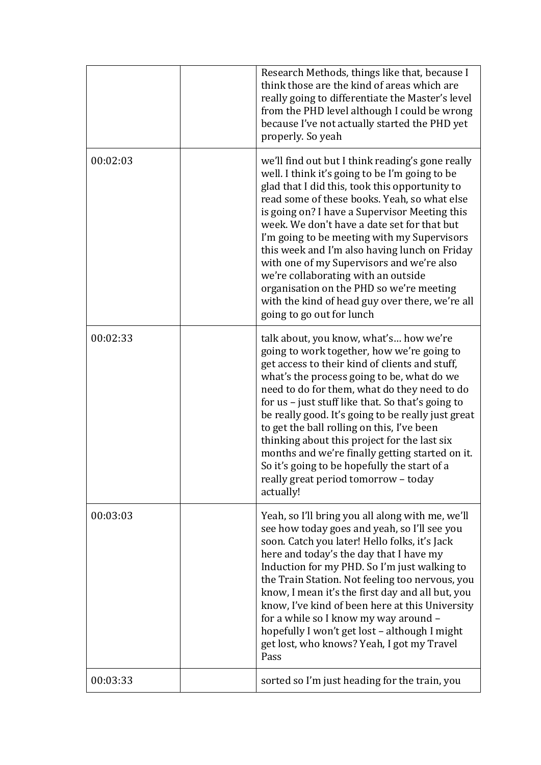|          | Research Methods, things like that, because I<br>think those are the kind of areas which are<br>really going to differentiate the Master's level<br>from the PHD level although I could be wrong<br>because I've not actually started the PHD yet<br>properly. So yeah                                                                                                                                                                                                                                                                                                                                               |
|----------|----------------------------------------------------------------------------------------------------------------------------------------------------------------------------------------------------------------------------------------------------------------------------------------------------------------------------------------------------------------------------------------------------------------------------------------------------------------------------------------------------------------------------------------------------------------------------------------------------------------------|
| 00:02:03 | we'll find out but I think reading's gone really<br>well. I think it's going to be I'm going to be<br>glad that I did this, took this opportunity to<br>read some of these books. Yeah, so what else<br>is going on? I have a Supervisor Meeting this<br>week. We don't have a date set for that but<br>I'm going to be meeting with my Supervisors<br>this week and I'm also having lunch on Friday<br>with one of my Supervisors and we're also<br>we're collaborating with an outside<br>organisation on the PHD so we're meeting<br>with the kind of head guy over there, we're all<br>going to go out for lunch |
| 00:02:33 | talk about, you know, what's how we're<br>going to work together, how we're going to<br>get access to their kind of clients and stuff,<br>what's the process going to be, what do we<br>need to do for them, what do they need to do<br>for us - just stuff like that. So that's going to<br>be really good. It's going to be really just great<br>to get the ball rolling on this, I've been<br>thinking about this project for the last six<br>months and we're finally getting started on it.<br>So it's going to be hopefully the start of a<br>really great period tomorrow - today<br>actually!                |
| 00:03:03 | Yeah, so I'll bring you all along with me, we'll<br>see how today goes and yeah, so I'll see you<br>soon. Catch you later! Hello folks, it's Jack<br>here and today's the day that I have my<br>Induction for my PHD. So I'm just walking to<br>the Train Station. Not feeling too nervous, you<br>know, I mean it's the first day and all but, you<br>know, I've kind of been here at this University<br>for a while so I know my way around -<br>hopefully I won't get lost - although I might<br>get lost, who knows? Yeah, I got my Travel<br>Pass                                                               |
| 00:03:33 | sorted so I'm just heading for the train, you                                                                                                                                                                                                                                                                                                                                                                                                                                                                                                                                                                        |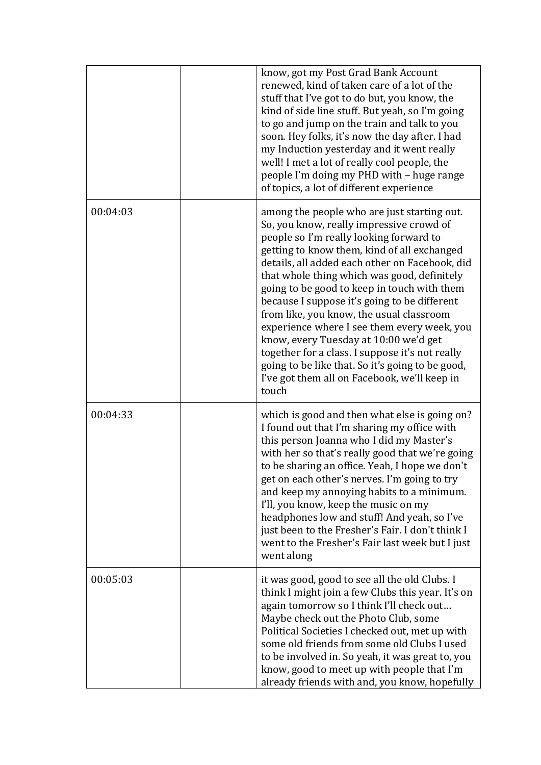|          | know, got my Post Grad Bank Account<br>renewed, kind of taken care of a lot of the<br>stuff that I've got to do but, you know, the<br>kind of side line stuff. But yeah, so I'm going<br>to go and jump on the train and talk to you<br>soon. Hey folks, it's now the day after. I had<br>my Induction yesterday and it went really<br>well! I met a lot of really cool people, the<br>people I'm doing my PHD with - huge range<br>of topics, a lot of different experience                                                                                                                                                                                                          |
|----------|---------------------------------------------------------------------------------------------------------------------------------------------------------------------------------------------------------------------------------------------------------------------------------------------------------------------------------------------------------------------------------------------------------------------------------------------------------------------------------------------------------------------------------------------------------------------------------------------------------------------------------------------------------------------------------------|
| 00:04:03 | among the people who are just starting out.<br>So, you know, really impressive crowd of<br>people so I'm really looking forward to<br>getting to know them, kind of all exchanged<br>details, all added each other on Facebook, did<br>that whole thing which was good, definitely<br>going to be good to keep in touch with them<br>because I suppose it's going to be different<br>from like, you know, the usual classroom<br>experience where I see them every week, you<br>know, every Tuesday at 10:00 we'd get<br>together for a class. I suppose it's not really<br>going to be like that. So it's going to be good,<br>I've got them all on Facebook, we'll keep in<br>touch |
| 00:04:33 | which is good and then what else is going on?<br>I found out that I'm sharing my office with<br>this person Joanna who I did my Master's<br>with her so that's really good that we're going<br>to be sharing an office. Yeah, I hope we don't<br>get on each other's nerves. I'm going to try<br>and keep my annoying habits to a minimum.<br>I'll, you know, keep the music on my<br>headphones low and stuff! And yeah, so I've<br>just been to the Fresher's Fair. I don't think I<br>went to the Fresher's Fair last week but I just<br>went along                                                                                                                                |
| 00:05:03 | it was good, good to see all the old Clubs. I<br>think I might join a few Clubs this year. It's on<br>again tomorrow so I think I'll check out<br>Maybe check out the Photo Club, some<br>Political Societies I checked out, met up with<br>some old friends from some old Clubs I used<br>to be involved in. So yeah, it was great to, you<br>know, good to meet up with people that I'm<br>already friends with and, you know, hopefully                                                                                                                                                                                                                                            |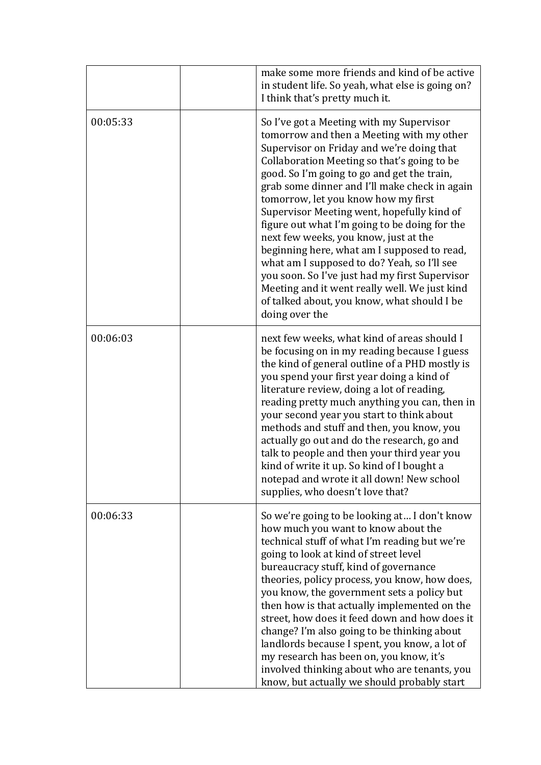|          | make some more friends and kind of be active<br>in student life. So yeah, what else is going on?<br>I think that's pretty much it.                                                                                                                                                                                                                                                                                                                                                                                                                                                                                                                                                                                                 |
|----------|------------------------------------------------------------------------------------------------------------------------------------------------------------------------------------------------------------------------------------------------------------------------------------------------------------------------------------------------------------------------------------------------------------------------------------------------------------------------------------------------------------------------------------------------------------------------------------------------------------------------------------------------------------------------------------------------------------------------------------|
| 00:05:33 | So I've got a Meeting with my Supervisor<br>tomorrow and then a Meeting with my other<br>Supervisor on Friday and we're doing that<br>Collaboration Meeting so that's going to be<br>good. So I'm going to go and get the train,<br>grab some dinner and I'll make check in again<br>tomorrow, let you know how my first<br>Supervisor Meeting went, hopefully kind of<br>figure out what I'm going to be doing for the<br>next few weeks, you know, just at the<br>beginning here, what am I supposed to read,<br>what am I supposed to do? Yeah, so I'll see<br>you soon. So I've just had my first Supervisor<br>Meeting and it went really well. We just kind<br>of talked about, you know, what should I be<br>doing over the |
| 00:06:03 | next few weeks, what kind of areas should I<br>be focusing on in my reading because I guess<br>the kind of general outline of a PHD mostly is<br>you spend your first year doing a kind of<br>literature review, doing a lot of reading,<br>reading pretty much anything you can, then in<br>your second year you start to think about<br>methods and stuff and then, you know, you<br>actually go out and do the research, go and<br>talk to people and then your third year you<br>kind of write it up. So kind of I bought a<br>notepad and wrote it all down! New school<br>supplies, who doesn't love that?                                                                                                                   |
| 00:06:33 | So we're going to be looking at I don't know<br>how much you want to know about the<br>technical stuff of what I'm reading but we're<br>going to look at kind of street level<br>bureaucracy stuff, kind of governance<br>theories, policy process, you know, how does,<br>you know, the government sets a policy but<br>then how is that actually implemented on the<br>street, how does it feed down and how does it<br>change? I'm also going to be thinking about<br>landlords because I spent, you know, a lot of<br>my research has been on, you know, it's<br>involved thinking about who are tenants, you<br>know, but actually we should probably start                                                                   |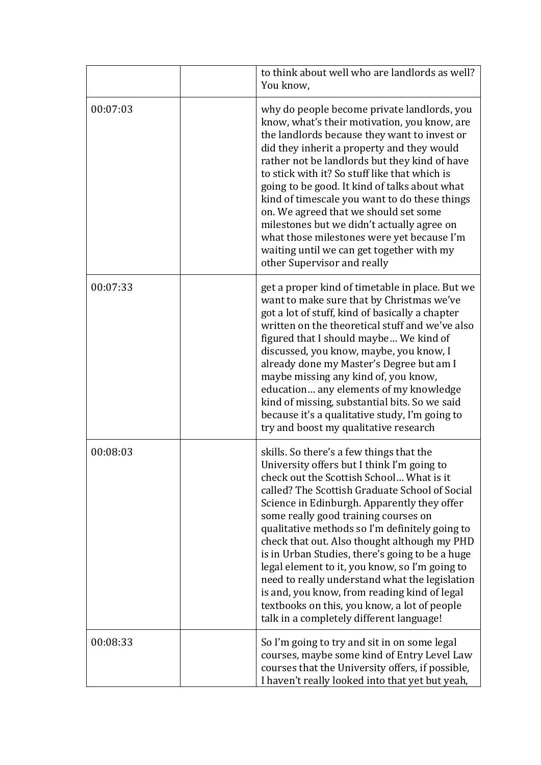|          | to think about well who are landlords as well?<br>You know,                                                                                                                                                                                                                                                                                                                                                                                                                                                                                                                                                                                                                      |
|----------|----------------------------------------------------------------------------------------------------------------------------------------------------------------------------------------------------------------------------------------------------------------------------------------------------------------------------------------------------------------------------------------------------------------------------------------------------------------------------------------------------------------------------------------------------------------------------------------------------------------------------------------------------------------------------------|
| 00:07:03 | why do people become private landlords, you<br>know, what's their motivation, you know, are<br>the landlords because they want to invest or<br>did they inherit a property and they would<br>rather not be landlords but they kind of have<br>to stick with it? So stuff like that which is<br>going to be good. It kind of talks about what<br>kind of timescale you want to do these things<br>on. We agreed that we should set some<br>milestones but we didn't actually agree on<br>what those milestones were yet because I'm<br>waiting until we can get together with my<br>other Supervisor and really                                                                   |
| 00:07:33 | get a proper kind of timetable in place. But we<br>want to make sure that by Christmas we've<br>got a lot of stuff, kind of basically a chapter<br>written on the theoretical stuff and we've also<br>figured that I should maybe We kind of<br>discussed, you know, maybe, you know, I<br>already done my Master's Degree but am I<br>maybe missing any kind of, you know,<br>education any elements of my knowledge<br>kind of missing, substantial bits. So we said<br>because it's a qualitative study, I'm going to<br>try and boost my qualitative research                                                                                                                |
| 00:08:03 | skills. So there's a few things that the<br>University offers but I think I'm going to<br>check out the Scottish School What is it<br>called? The Scottish Graduate School of Social<br>Science in Edinburgh. Apparently they offer<br>some really good training courses on<br>qualitative methods so I'm definitely going to<br>check that out. Also thought although my PHD<br>is in Urban Studies, there's going to be a huge<br>legal element to it, you know, so I'm going to<br>need to really understand what the legislation<br>is and, you know, from reading kind of legal<br>textbooks on this, you know, a lot of people<br>talk in a completely different language! |
| 00:08:33 | So I'm going to try and sit in on some legal<br>courses, maybe some kind of Entry Level Law<br>courses that the University offers, if possible,<br>I haven't really looked into that yet but yeah,                                                                                                                                                                                                                                                                                                                                                                                                                                                                               |